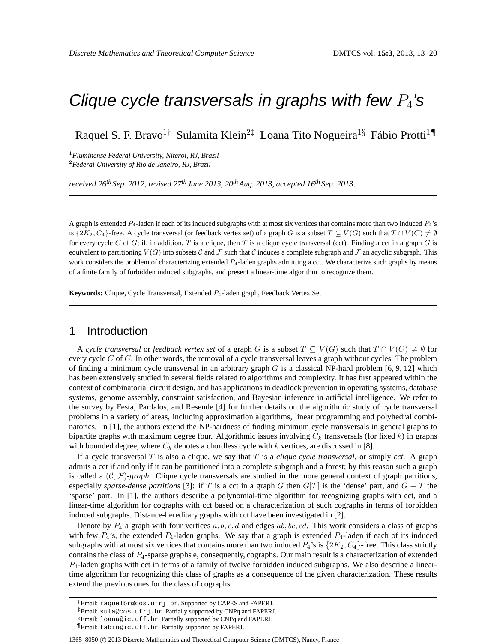# Clique cycle transversals in graphs with few  $P_4$ 's

Raquel S. F. Bravo<sup>1†</sup> Sulamita Klein<sup>2‡</sup> Loana Tito Nogueira<sup>1§</sup> Fábio Protti<sup>1¶</sup>

<sup>1</sup>*Fluminense Federal University, Niterói, RJ, Brazil* <sup>2</sup>*Federal University of Rio de Janeiro, RJ, Brazil*

*received 26th Sep. 2012*, *revised 27th June 2013, 20thAug. 2013*, *accepted 16th Sep. 2013*.

A graph is extended  $P_4$ -laden if each of its induced subgraphs with at most six vertices that contains more than two induced  $P_4$ 's is  $\{2K_2, C_4\}$ -free. A cycle transversal (or feedback vertex set) of a graph G is a subset  $T \subseteq V(G)$  such that  $T \cap V(C) \neq \emptyset$ for every cycle C of G; if, in addition, T is a clique, then T is a clique cycle transversal (cct). Finding a cct in a graph G is equivalent to partitioning  $V(G)$  into subsets C and F such that C induces a complete subgraph and F an acyclic subgraph. This work considers the problem of characterizing extended  $P_4$ -laden graphs admitting a cct. We characterize such graphs by means of a finite family of forbidden induced subgraphs, and present a linear-time algorithm to recognize them.

**Keywords:** Clique, Cycle Transversal, Extended P4-laden graph, Feedback Vertex Set

# 1 Introduction

A *cycle transversal* or *feedback vertex set* of a graph G is a subset  $T \subseteq V(G)$  such that  $T \cap V(C) \neq \emptyset$  for every cycle  $C$  of  $G$ . In other words, the removal of a cycle transversal leaves a graph without cycles. The problem of finding a minimum cycle transversal in an arbitrary graph  $G$  is a classical NP-hard problem [6, 9, 12] which has been extensively studied in several fields related to algorithms and complexity. It has first appeared within the context of combinatorial circuit design, and has applications in deadlock prevention in operating systems, database systems, genome assembly, constraint satisfaction, and Bayesian inference in artificial intelligence. We refer to the survey by Festa, Pardalos, and Resende [4] for further details on the algorithmic study of cycle transversal problems in a variety of areas, including approximation algorithms, linear programming and polyhedral combinatorics. In [1], the authors extend the NP-hardness of finding minimum cycle transversals in general graphs to bipartite graphs with maximum degree four. Algorithmic issues involving  $C_k$  transversals (for fixed k) in graphs with bounded degree, where  $C_k$  denotes a chordless cycle with k vertices, are discussed in [8].

If a cycle transversal  $T$  is also a clique, we say that  $T$  is a *clique cycle transversal*, or simply *cct*. A graph admits a cct if and only if it can be partitioned into a complete subgraph and a forest; by this reason such a graph is called a  $(C, \mathcal{F})$ -*graph*. Clique cycle transversals are studied in the more general context of graph partitions, especially *sparse-dense partitions* [3]: if T is a cct in a graph G then  $G[T]$  is the 'dense' part, and  $G - T$  the 'sparse' part. In [1], the authors describe a polynomial-time algorithm for recognizing graphs with cct, and a linear-time algorithm for cographs with cct based on a characterization of such cographs in terms of forbidden induced subgraphs. Distance-hereditary graphs with cct have been investigated in [2].

Denote by  $P_4$  a graph with four vertices  $a, b, c, d$  and edges  $ab, bc, cd$ . This work considers a class of graphs with few  $P_4$ 's, the extended  $P_4$ -laden graphs. We say that a graph is extended  $P_4$ -laden if each of its induced subgraphs with at most six vertices that contains more than two induced  $P_4$ 's is  $\{2K_2, C_4\}$ -free. This class strictly contains the class of  $P_4$ -sparse graphs e, consequently, cographs. Our main result is a characterization of extended  $P_4$ -laden graphs with cct in terms of a family of twelve forbidden induced subgraphs. We also describe a lineartime algorithm for recognizing this class of graphs as a consequence of the given characterization. These results extend the previous ones for the class of cographs.

1365–8050 C 2013 Discrete Mathematics and Theoretical Computer Science (DMTCS), Nancy, France

<sup>†</sup>Email: raquelbr@cos.ufrj.br. Supported by CAPES and FAPERJ.

<sup>‡</sup>Email: sula@cos.ufrj.br. Partially supported by CNPq and FAPERJ.

<sup>§</sup>Email: loana@ic.uff.br. Partially supported by CNPq and FAPERJ.

<sup>¶</sup>Email: fabio@ic.uff.br. Partially supported by FAPERJ.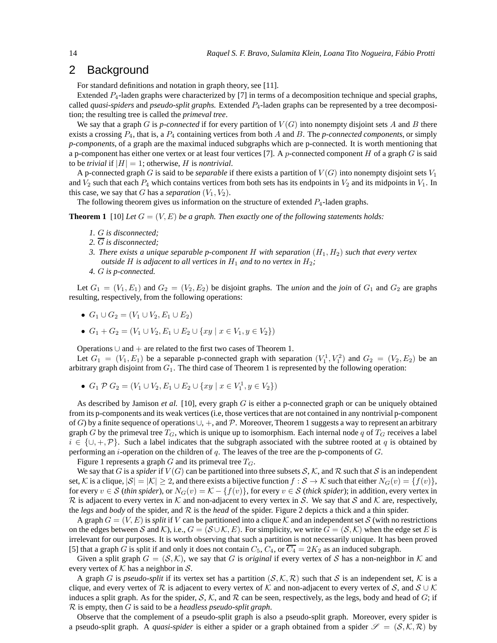# 2 Background

For standard definitions and notation in graph theory, see [11].

Extended  $P_4$ -laden graphs were characterized by [7] in terms of a decomposition technique and special graphs, called *quasi-spiders* and *pseudo-split graphs*. Extended P4-laden graphs can be represented by a tree decomposition; the resulting tree is called the *primeval tree*.

We say that a graph G is *p-connected* if for every partition of  $V(G)$  into nonempty disjoint sets A and B there exists a crossing P4, that is, a P<sup>4</sup> containing vertices from both A and B. The *p-connected components*, or simply *p-components*, of a graph are the maximal induced subgraphs which are p-connected. It is worth mentioning that a p-component has either one vertex or at least four vertices [7]. A p-connected component H of a graph  $G$  is said to be *trivial* if  $|H| = 1$ ; otherwise, *H* is *nontrivial*.

A p-connected graph G is said to be *separable* if there exists a partition of  $V(G)$  into nonempty disjoint sets  $V_1$ and  $V_2$  such that each  $P_4$  which contains vertices from both sets has its endpoints in  $V_2$  and its midpoints in  $V_1$ . In this case, we say that G has a *separation*  $(V_1, V_2)$ .

The following theorem gives us information on the structure of extended  $P_4$ -laden graphs.

**Theorem 1** [10] *Let*  $G = (V, E)$  *be a graph. Then exactly one of the following statements holds:* 

- *1.* G *is disconnected;*
- *2.* G *is disconnected;*
- *3. There exists a unique separable p-component* H *with separation* (H1, H2) *such that every vertex outside* H *is adjacent to all vertices in*  $H_1$  *and to no vertex in*  $H_2$ ;
- *4.* G *is p-connected.*

Let  $G_1 = (V_1, E_1)$  and  $G_2 = (V_2, E_2)$  be disjoint graphs. The *union* and the *join* of  $G_1$  and  $G_2$  are graphs resulting, respectively, from the following operations:

- $G_1 \cup G_2 = (V_1 \cup V_2, E_1 \cup E_2)$
- $G_1 + G_2 = (V_1 \cup V_2, E_1 \cup E_2 \cup \{xy \mid x \in V_1, y \in V_2\})$

Operations ∪ and + are related to the first two cases of Theorem 1.

Let  $G_1 = (V_1, E_1)$  be a separable p-connected graph with separation  $(V_1^1, V_1^2)$  and  $G_2 = (V_2, E_2)$  be an arbitrary graph disjoint from  $G_1$ . The third case of Theorem 1 is represented by the following operation:

•  $G_1 \mathcal{P} G_2 = (V_1 \cup V_2, E_1 \cup E_2 \cup \{xy \mid x \in V_1^1, y \in V_2\})$ 

As described by Jamison *et al.* [10], every graph G is either a p-connected graph or can be uniquely obtained from its p-components and its weak vertices (i.e, those vertices that are not contained in any nontrivial p-component of G) by a finite sequence of operations  $\cup$ ,  $+$ , and P. Moreover, Theorem 1 suggests a way to represent an arbitrary graph G by the primeval tree  $T_G$ , which is unique up to isomorphism. Each internal node q of  $T_G$  receives a label  $i \in \{ \cup, +, \mathcal{P} \}$ . Such a label indicates that the subgraph associated with the subtree rooted at q is obtained by performing an *i*-operation on the children of  $q$ . The leaves of the tree are the p-components of  $G$ .

Figure 1 represents a graph  $G$  and its primeval tree  $T_G$ .

We say that G is a *spider* if  $V(G)$  can be partitioned into three subsets S, K, and R such that S is an independent set, K is a clique,  $|S| = |K| \ge 2$ , and there exists a bijective function  $f : S \to K$  such that either  $N_G(v) = \{f(v)\},$ for every  $v \in S$  (*thin spider*), or  $N_G(v) = K - \{f(v)\}\$ , for every  $v \in S$  (*thick spider*); in addition, every vertex in  $\mathcal R$  is adjacent to every vertex in  $\mathcal K$  and non-adjacent to every vertex in S. We say that S and K are, respectively, the *legs* and *body* of the spider, and  $R$  is the *head* of the spider. Figure 2 depicts a thick and a thin spider.

A graph  $G = (V, E)$  is *split* if V can be partitioned into a clique K and an independent set S (with no restrictions on the edges between S and K), i.e.,  $G = (\mathcal{S} \cup \mathcal{K}, E)$ . For simplicity, we write  $G = (\mathcal{S}, \mathcal{K})$  when the edge set E is irrelevant for our purposes. It is worth observing that such a partition is not necessarily unique. It has been proved [5] that a graph G is split if and only it does not contain  $C_5$ ,  $C_4$ , or  $\overline{C_4} = 2K_2$  as an induced subgraph.

Given a split graph  $G = (S, \mathcal{K})$ , we say that G is *original* if every vertex of S has a non-neighbor in K and every vertex of  $K$  has a neighbor in  $S$ .

A graph G is *pseudo-split* if its vertex set has a partition  $(S, \mathcal{K}, \mathcal{R})$  such that S is an independent set, K is a clique, and every vertex of R is adjacent to every vertex of K and non-adjacent to every vertex of S, and  $S \cup K$ induces a split graph. As for the spider, S, K, and R can be seen, respectively, as the legs, body and head of G; if R is empty, then G is said to be a *headless pseudo-split graph*.

Observe that the complement of a pseudo-split graph is also a pseudo-split graph. Moreover, every spider is a pseudo-split graph. A *quasi-spider* is either a spider or a graph obtained from a spider  $\mathscr{S} = (\mathcal{S}, \mathcal{K}, \mathcal{R})$  by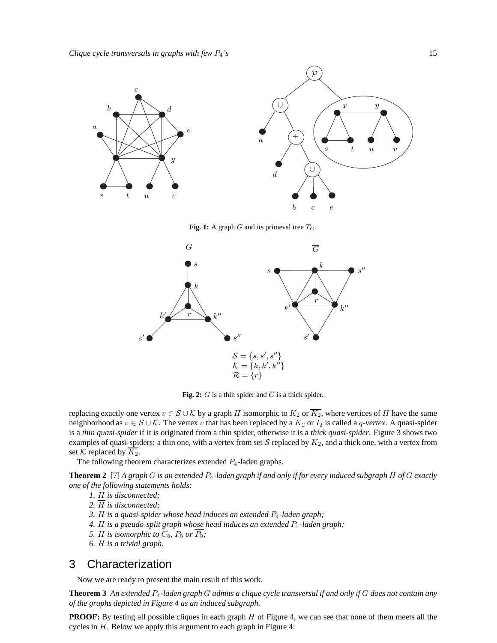

**Fig. 1:** A graph  $G$  and its primeval tree  $T_G$ .



**Fig. 2:** G is a thin spider and  $\overline{G}$  is a thick spider.

replacing exactly one vertex  $v \in S \cup K$  by a graph H isomorphic to  $K_2$  or  $\overline{K_2}$ , where vertices of H have the same neighborhood as  $v \in S \cup K$ . The vertex v that has been replaced by a  $K_2$  or  $I_2$  is called a q-vertex. A quasi-spider is a *thin quasi-spider* if it is originated from a thin spider, otherwise it is a *thick quasi-spider*. Figure 3 shows two examples of quasi-spiders: a thin one, with a vertex from set S replaced by  $K_2$ , and a thick one, with a vertex from set K replaced by  $\overline{K_2}$ .

The following theorem characterizes extended  $P_4$ -laden graphs.

**Theorem 2** [7] *A graph* G *is an extended* P4*-laden graph if and only if for every induced subgraph* H *of* G *exactly one of the following statements holds:*

- *1.* H *is disconnected;*
- *2.* H *is disconnected;*
- *3.* H *is a quasi-spider whose head induces an extended* P4*-laden graph;*
- *4.* H *is a pseudo-split graph whose head induces an extended* P4*-laden graph;*
- *5. H is isomorphic to*  $C_5$ ,  $P_5$  *or*  $\overline{P_5}$ ;
- *6.* H *is a trivial graph.*

# 3 Characterization

Now we are ready to present the main result of this work.

**Theorem 3** *An extended* P4*-laden graph* G *admits a clique cycle transversal if and only if* G *does not contain any of the graphs depicted in Figure 4 as an induced subgraph.*

**PROOF:** By testing all possible cliques in each graph H of Figure 4, we can see that none of them meets all the cycles in H. Below we apply this argument to each graph in Figure 4: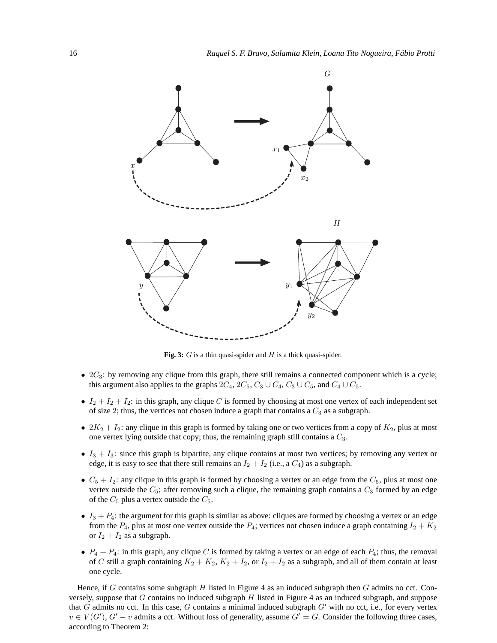

**Fig. 3:** G is a thin quasi-spider and H is a thick quasi-spider.

- $2C_3$ : by removing any clique from this graph, there still remains a connected component which is a cycle; this argument also applies to the graphs  $2C_4$ ,  $2C_5$ ,  $C_3 \cup C_4$ ,  $C_3 \cup C_5$ , and  $C_4 \cup C_5$ .
- $I_2 + I_2 + I_2$ : in this graph, any clique C is formed by choosing at most one vertex of each independent set of size 2; thus, the vertices not chosen induce a graph that contains a  $C_3$  as a subgraph.
- $2K_2 + I_2$ : any clique in this graph is formed by taking one or two vertices from a copy of  $K_2$ , plus at most one vertex lying outside that copy; thus, the remaining graph still contains a  $C_3$ .
- $I_3 + I_3$ : since this graph is bipartite, any clique contains at most two vertices; by removing any vertex or edge, it is easy to see that there still remains an  $I_2 + I_2$  (i.e., a  $C_4$ ) as a subgraph.
- $C_5 + I_2$ : any clique in this graph is formed by choosing a vertex or an edge from the  $C_5$ , plus at most one vertex outside the  $C_5$ ; after removing such a clique, the remaining graph contains a  $C_3$  formed by an edge of the  $C_5$  plus a vertex outside the  $C_5$ .
- $\bullet$   $I_3 + P_4$ : the argument for this graph is similar as above: cliques are formed by choosing a vertex or an edge from the  $P_4$ , plus at most one vertex outside the  $P_4$ ; vertices not chosen induce a graph containing  $I_2 + K_2$ or  $I_2 + I_2$  as a subgraph.
- $P_4 + P_4$ : in this graph, any clique C is formed by taking a vertex or an edge of each  $P_4$ ; thus, the removal of C still a graph containing  $K_2 + K_2$ ,  $K_2 + I_2$ , or  $I_2 + I_2$  as a subgraph, and all of them contain at least one cycle.

Hence, if  $G$  contains some subgraph  $H$  listed in Figure 4 as an induced subgraph then  $G$  admits no cct. Conversely, suppose that G contains no induced subgraph H listed in Figure 4 as an induced subgraph, and suppose that G admits no cct. In this case, G contains a minimal induced subgraph  $G'$  with no cct, i.e., for every vertex  $v \in V(G')$ ,  $G' - v$  admits a cct. Without loss of generality, assume  $G' = G$ . Consider the following three cases, according to Theorem 2: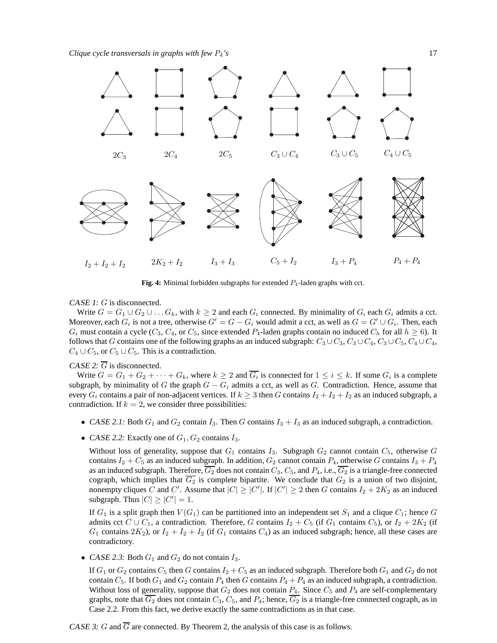*Clique cycle transversals in graphs with few P<sub>4</sub>'s* 17



**Fig. 4:** Minimal forbidden subgraphs for extended  $P_4$ -laden graphs with cct.

CASE 1: G is disconnected.

Write  $G = G_1 \cup G_2 \cup \ldots G_k$ , with  $k \geq 2$  and each  $G_i$  connected. By minimality of G, each  $G_i$  admits a cct. Moreover, each  $G_i$  is not a tree, otherwise  $G' = G - G_i$  would admit a cct, as well as  $G = G' \cup G_i$ . Then, each  $G_i$  must contain a cycle ( $C_3$ ,  $C_4$ , or  $C_5$ , since extended  $P_4$ -laden graphs contain no induced  $C_h$  for all  $h \ge 6$ ). It follows that G contains one of the following graphs as an induced subgraph:  $C_3 \cup C_3$ ,  $C_3 \cup C_4$ ,  $C_3 \cup C_5$ ,  $C_4 \cup C_4$ ,  $C_4 \cup C_5$ , or  $C_5 \cup C_5$ . This is a contradiction.

CASE 2:  $\overline{G}$  is disconnected.

Write  $G = G_1 + G_2 + \cdots + G_k$ , where  $k \geq 2$  and  $\overline{G_i}$  is connected for  $1 \leq i \leq k$ . If some  $G_i$  is a complete subgraph, by minimality of G the graph  $G - G_i$  admits a cct, as well as G. Contradiction. Hence, assume that every  $G_i$  contains a pair of non-adjacent vertices. If  $k \geq 3$  then G contains  $I_2 + I_2 + I_2$  as an induced subgraph, a contradiction. If  $k = 2$ , we consider three possibilities:

- CASE 2.1: Both  $G_1$  and  $G_2$  contain  $I_3$ . Then G contains  $I_3 + I_3$  as an induced subgraph, a contradiction.
- CASE 2.2: Exactly one of  $G_1, G_2$  contains  $I_3$ .

Without loss of generality, suppose that  $G_1$  contains  $I_3$ . Subgraph  $G_2$  cannot contain  $C_5$ , otherwise G contains  $I_2 + C_5$  as an induced subgraph. In addition,  $G_2$  cannot contain  $P_4$ , otherwise G contains  $I_3 + P_4$ as an induced subgraph. Therefore,  $\overline{G_2}$  does not contain  $C_3$ ,  $C_5$ , and  $P_4$ , i.e.,  $\overline{G_2}$  is a triangle-free connected cograph, which implies that  $\overline{G_2}$  is complete bipartite. We conclude that  $G_2$  is a union of two disjoint, nonempty cliques  $\tilde{C}$  and  $C'$ . Assume that  $|C| \geq |C'|$ . If  $|C'| \geq 2$  then G contains  $I_2 + 2K_2$  as an induced subgraph. Thus  $|C| \ge |C'| = 1$ .

If  $G_1$  is a split graph then  $V(G_1)$  can be partitioned into an independent set  $S_1$  and a clique  $C_1$ ; hence G admits cct  $C \cup C_1$ , a contradiction. Therefore, G contains  $I_2 + C_5$  (if  $G_1$  contains  $C_5$ ), or  $I_2 + 2K_2$  (if  $G_1$  contains  $2K_2$ ), or  $I_2 + I_2 + I_2$  (if  $G_1$  contains  $C_4$ ) as an induced subgraph; hence, all these cases are contradictory.

• CASE 2.3: Both  $G_1$  and  $G_2$  do not contain  $I_3$ .

If  $G_1$  or  $G_2$  contains  $C_5$  then G contains  $I_2 + C_5$  as an induced subgraph. Therefore both  $G_1$  and  $G_2$  do not contain  $C_5$ . If both  $G_1$  and  $G_2$  contain  $P_4$  then G contains  $P_4 + P_4$  as an induced subgraph, a contradiction. Without loss of generality, suppose that  $G_2$  does not contain  $P_4$ . Since  $C_5$  and  $P_4$  are self-complementary graphs, note that  $\overline{G_2}$  does not contain  $C_3$ ,  $C_5$ , and  $P_4$ ; hence,  $\overline{G_2}$  is a triangle-free connected cograph, as in Case 2.2. From this fact, we derive exactly the same contradictions as in that case.

CASE 3: G and  $\overline{G}$  are connected. By Theorem 2, the analysis of this case is as follows.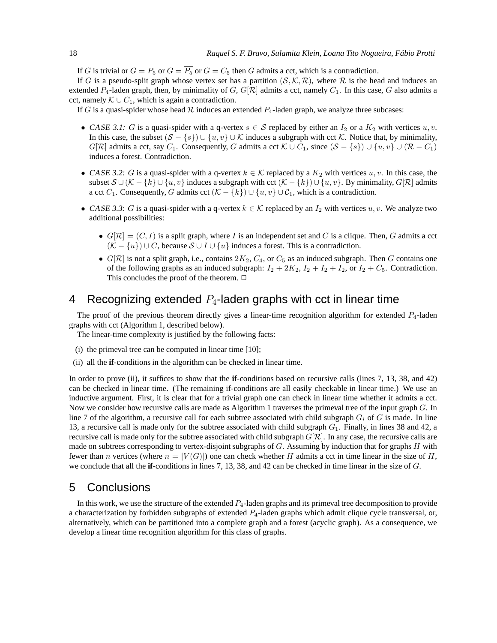If G is trivial or  $G = P_5$  or  $G = \overline{P_5}$  or  $G = C_5$  then G admits a cct, which is a contradiction.

If G is a pseudo-split graph whose vertex set has a partition  $(S, \mathcal{K}, \mathcal{R})$ , where R is the head and induces an extended  $P_4$ -laden graph, then, by minimality of G,  $G[\mathcal{R}]$  admits a cct, namely  $C_1$ . In this case, G also admits a cct, namely  $K \cup C_1$ , which is again a contradiction.

If G is a quasi-spider whose head  $R$  induces an extended  $P_4$ -laden graph, we analyze three subcases:

- CASE 3.1: G is a quasi-spider with a q-vertex  $s \in S$  replaced by either an  $I_2$  or a  $K_2$  with vertices  $u, v$ . In this case, the subset  $(S - \{s\}) \cup \{u, v\} \cup \mathcal{K}$  induces a subgraph with cct  $\mathcal{K}$ . Notice that, by minimality,  $G[\mathcal{R}]$  admits a cct, say  $C_1$ . Consequently, G admits a cct  $\mathcal{K} \cup C_1$ , since  $(\mathcal{S} - \{s\}) \cup \{u, v\} \cup (\mathcal{R} - C_1)$ induces a forest. Contradiction.
- CASE 3.2: G is a quasi-spider with a q-vertex  $k \in \mathcal{K}$  replaced by a  $K_2$  with vertices  $u, v$ . In this case, the subset  $\mathcal{S} \cup (\mathcal{K} - \{k\} \cup \{u, v\})$  induces a subgraph with cct  $(\mathcal{K} - \{k\}) \cup \{u, v\}$ . By minimality,  $G[\mathcal{R}]$  admits a cct  $C_1$ . Consequently, G admits cct  $(\mathcal{K} - \{k\}) \cup \{u, v\} \cup C_1$ , which is a contradiction.
- CASE 3.3: G is a quasi-spider with a q-vertex  $k \in \mathcal{K}$  replaced by an  $I_2$  with vertices  $u, v$ . We analyze two additional possibilities:
	- $G[\mathcal{R}] = (C, I)$  is a split graph, where I is an independent set and C is a clique. Then, G admits a cct  $(K - \{u\}) \cup C$ , because  $S \cup I \cup \{u\}$  induces a forest. This is a contradiction.
	- $G[\mathcal{R}]$  is not a split graph, i.e., contains  $2K_2$ ,  $C_4$ , or  $C_5$  as an induced subgraph. Then G contains one of the following graphs as an induced subgraph:  $I_2 + 2K_2$ ,  $I_2 + I_2 + I_2$ , or  $I_2 + C_5$ . Contradiction. This concludes the proof of the theorem.  $\Box$

# 4 Recognizing extended  $P_4$ -laden graphs with cct in linear time

The proof of the previous theorem directly gives a linear-time recognition algorithm for extended  $P_4$ -laden graphs with cct (Algorithm 1, described below).

The linear-time complexity is justified by the following facts:

- (i) the primeval tree can be computed in linear time [10];
- (ii) all the **if**-conditions in the algorithm can be checked in linear time.

In order to prove (ii), it suffices to show that the **if**-conditions based on recursive calls (lines 7, 13, 38, and 42) can be checked in linear time. (The remaining if-conditions are all easily checkable in linear time.) We use an inductive argument. First, it is clear that for a trivial graph one can check in linear time whether it admits a cct. Now we consider how recursive calls are made as Algorithm 1 traverses the primeval tree of the input graph G. In line 7 of the algorithm, a recursive call for each subtree associated with child subgraph  $G_i$  of G is made. In line 13, a recursive call is made only for the subtree associated with child subgraph  $G_1$ . Finally, in lines 38 and 42, a recursive call is made only for the subtree associated with child subgraph  $G[\mathcal{R}]$ . In any case, the recursive calls are made on subtrees corresponding to vertex-disjoint subgraphs of G. Assuming by induction that for graphs H with fewer than n vertices (where  $n = |V(G)|$ ) one can check whether H admits a cct in time linear in the size of H, we conclude that all the **if**-conditions in lines 7, 13, 38, and 42 can be checked in time linear in the size of G.

# 5 Conclusions

In this work, we use the structure of the extended  $P_4$ -laden graphs and its primeval tree decomposition to provide a characterization by forbidden subgraphs of extended  $P_4$ -laden graphs which admit clique cycle transversal, or, alternatively, which can be partitioned into a complete graph and a forest (acyclic graph). As a consequence, we develop a linear time recognition algorithm for this class of graphs.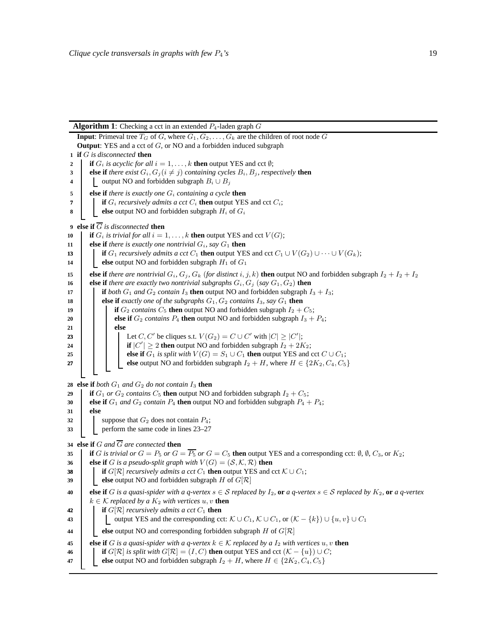#### **Algorithm 1**: Checking a cct in an extended  $P_4$ -laden graph  $G$

**Input**: Primeval tree  $T_G$  of G, where  $G_1, G_2, \ldots, G_k$  are the children of root node G **Output**: YES and a cct of G, or NO and a forbidden induced subgraph **if** G *is disconnected* **then if**  $G_i$  *is acyclic for all*  $i = 1, \ldots, k$  **then** output YES and cct  $\emptyset$ ; **else if** *there exist*  $G_i, G_j$  ( $i \neq j$ ) *containing cycles*  $B_i, B_j$ *, respectively* **then**  output NO and forbidden subgraph  $B_i \cup B_j$  **else if** *there is exactly one* G<sup>i</sup> *containing a cycle* **then if**  $G_i$  *recursively admits a cct*  $C_i$  **then** output YES and cct  $C_i$ ; **else** output NO and forbidden subgraph  $H_i$  of  $G_i$  **else if**  $\overline{G}$  *is disconnected* **then if**  $G_i$  *is trivial for all*  $i = 1, ..., k$  **then** output YES and cct  $V(G)$ ; **else if** *there is exactly one nontrivial*  $G_i$ *, say*  $G_1$  **then i if**  $G_1$  *recursively admits a cct*  $C_1$  **then** output YES and cct  $C_1 \cup V(G_2) \cup \cdots \cup V(G_k)$ ; **else** output NO and forbidden subgraph  $H_1$  of  $G_1$  **else if** *there are nontrivial*  $G_i$ ,  $G_j$ ,  $G_k$  (*for distinct*  $i, j, k$ ) **then** output NO and forbidden subgraph  $I_2 + I_2 + I_2$  **else if** *there are exactly two nontrivial subgraphs*  $G_i$ ,  $G_j$  (*say*  $G_1$ ,  $G_2$ ) **then i if** *both*  $G_1$  *and*  $G_2$  *contain*  $I_3$  **then** output NO and forbidden subgraph  $I_3 + I_3$ ; **else if** *exactly one of the subgraphs*  $G_1$ ,  $G_2$  *contains*  $I_3$ *, say*  $G_1$  **then if**  $G_2$  *contains*  $C_5$  **then** output NO and forbidden subgraph  $I_2 + C_5$ ; **else if**  $G_2$  *contains*  $P_4$  **then** output NO and forbidden subgraph  $I_3 + P_4$ ; **21 else**  $\Box$  Let C, C' be cliques s.t.  $V(G_2) = C \cup C'$  with  $|C| \ge |C'|$ ;  $\vert$   $\vert$   $\vert$   $\vert$  **if**  $|C'| \geq 2$  **then** output NO and forbidden subgraph  $I_2 + 2K_2$ ; **else if**  $G_1$  *is split with*  $V(G) = S_1 \cup C_1$  **then** output YES and cct  $C \cup C_1$ ; **else** output NO and forbidden subgraph  $I_2 + H$ , where  $H \in \{2K_2, C_4, C_5\}$ **else if** *both*  $G_1$  *and*  $G_2$  *do not contain*  $I_3$  **then if**  $G_1$  *or*  $G_2$  *contains*  $C_5$  **then** output NO and forbidden subgraph  $I_2 + C_5$ ; **else if**  $G_1$  *and*  $G_2$  *contain*  $P_4$  **then** output NO and forbidden subgraph  $P_4 + P_4$ ; **31 else** suppose that  $G_2$  does not contain  $P_4$ ; perform the same code in lines 23–27 **else if**  $G$  *and*  $\overline{G}$  *are connected* **then i if** G is trivial or  $G = P_5$  or  $G = \overline{P_5}$  or  $G = C_5$  **then** output YES and a corresponding cct: Ø, Ø,  $C_3$ , or  $K_2$ ; **else if** G *is a pseudo-split graph with*  $V(G) = (S, \mathcal{K}, \mathcal{R})$  then **ii if**  $G[\mathcal{R}]$  *recursively admits a cct*  $C_1$  **then** output YES and cct  $\mathcal{K} \cup C_1$ ; **else** output NO and forbidden subgraph  $H$  of  $G[\mathcal{R}]$  **else if** G is a quasi-spider with a q-vertex  $s \in S$  replaced by  $I_2$ , **or** a q-vertex  $s \in S$  replaced by  $K_2$ , **or** a q-vertex  $k \in \mathcal{K}$  *replaced by a*  $K_2$  *with vertices*  $u, v$  **then if**  $G[\mathcal{R}]$  *recursively admits a cct*  $C_1$  **then**   $\Box$  output YES and the corresponding cct:  $K \cup C_1$ ,  $K \cup C_1$ , or  $(K - \{k\}) \cup \{u, v\} \cup C_1$  **else** output NO and corresponding forbidden subgraph  $H$  of  $G[\mathcal{R}]$  **else if** G is a quasi-spider with a q-vertex  $k \in \mathcal{K}$  replaced by a  $I_2$  with vertices  $u, v$  then **i if**  $G[\mathcal{R}]$  *is split with*  $G[\mathcal{R}] = (I, C)$  **then** output YES and cct  $(K - \{u\}) \cup C$ ; **else** output NO and forbidden subgraph  $I_2 + H$ , where  $H \in \{2K_2, C_4, C_5\}$